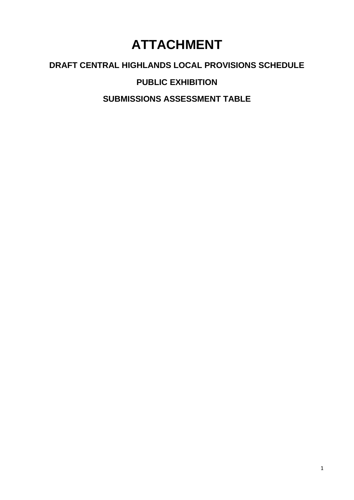# **ATTACHMENT**

## **DRAFT CENTRAL HIGHLANDS LOCAL PROVISIONS SCHEDULE**

**PUBLIC EXHIBITION**

**SUBMISSIONS ASSESSMENT TABLE**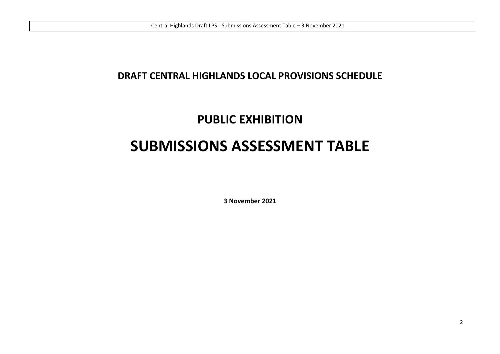### **DRAFT CENTRAL HIGHLANDS LOCAL PROVISIONS SCHEDULE**

## **PUBLIC EXHIBITION**

# **SUBMISSIONS ASSESSMENT TABLE**

**3 November 2021**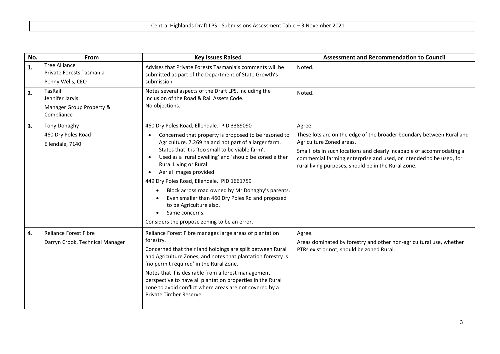| No. | From                                                            | <b>Key Issues Raised</b>                                                                                                                                                                                                                                                                                                                                                                                                                                 | <b>Assessment and Recommendation to Council</b>                                                                                                                                                     |
|-----|-----------------------------------------------------------------|----------------------------------------------------------------------------------------------------------------------------------------------------------------------------------------------------------------------------------------------------------------------------------------------------------------------------------------------------------------------------------------------------------------------------------------------------------|-----------------------------------------------------------------------------------------------------------------------------------------------------------------------------------------------------|
| 1.  | <b>Tree Alliance</b><br>Private Forests Tasmania                | Advises that Private Forests Tasmania's comments will be<br>submitted as part of the Department of State Growth's                                                                                                                                                                                                                                                                                                                                        | Noted.                                                                                                                                                                                              |
|     | Penny Wells, CEO                                                | submission                                                                                                                                                                                                                                                                                                                                                                                                                                               |                                                                                                                                                                                                     |
| 2.  | TasRail<br>Jennifer Jarvis<br>Manager Group Property &          | Notes several aspects of the Draft LPS, including the<br>inclusion of the Road & Rail Assets Code.<br>No objections.                                                                                                                                                                                                                                                                                                                                     | Noted.                                                                                                                                                                                              |
|     | Compliance                                                      |                                                                                                                                                                                                                                                                                                                                                                                                                                                          |                                                                                                                                                                                                     |
| 3.  | <b>Tony Donaghy</b>                                             | 460 Dry Poles Road, Ellendale. PID 3389090                                                                                                                                                                                                                                                                                                                                                                                                               | Agree.                                                                                                                                                                                              |
|     | 460 Dry Poles Road<br>Ellendale, 7140                           | Concerned that property is proposed to be rezoned to<br>Agriculture. 7.269 ha and not part of a larger farm.                                                                                                                                                                                                                                                                                                                                             | These lots are on the edge of the broader boundary between Rural and<br>Agriculture Zoned areas.                                                                                                    |
|     |                                                                 | States that it is 'too small to be viable farm'.<br>Used as a 'rural dwelling' and 'should be zoned either<br>Rural Living or Rural.<br>Aerial images provided.<br>449 Dry Poles Road, Ellendale. PID 1661759                                                                                                                                                                                                                                            | Small lots in such locations and clearly incapable of accommodating a<br>commercial farming enterprise and used, or intended to be used, for<br>rural living purposes, should be in the Rural Zone. |
|     |                                                                 | Block across road owned by Mr Donaghy's parents.<br>Even smaller than 460 Dry Poles Rd and proposed<br>to be Agriculture also.<br>Same concerns.                                                                                                                                                                                                                                                                                                         |                                                                                                                                                                                                     |
|     |                                                                 | Considers the propose zoning to be an error.                                                                                                                                                                                                                                                                                                                                                                                                             |                                                                                                                                                                                                     |
| 4.  | <b>Reliance Forest Fibre</b><br>Darryn Crook, Technical Manager | Reliance Forest Fibre manages large areas of plantation<br>forestry.<br>Concerned that their land holdings are split between Rural<br>and Agriculture Zones, and notes that plantation forestry is<br>'no permit required' in the Rural Zone.<br>Notes that if is desirable from a forest management<br>perspective to have all plantation properties in the Rural<br>zone to avoid conflict where areas are not covered by a<br>Private Timber Reserve. | Agree.<br>Areas dominated by forestry and other non-agricultural use, whether<br>PTRs exist or not, should be zoned Rural.                                                                          |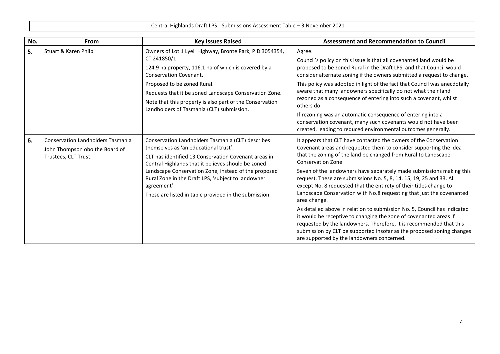| No. | <b>From</b>                                                                                                                                                                              | <b>Key Issues Raised</b>                                                                                                                                                                                                                                                                                                                                                                       | <b>Assessment and Recommendation to Council</b>                                                                                                                                                                                                                                                                                                                                                                                                                                                                                                                                                                                                                                                                                                                                                                                                                                            |
|-----|------------------------------------------------------------------------------------------------------------------------------------------------------------------------------------------|------------------------------------------------------------------------------------------------------------------------------------------------------------------------------------------------------------------------------------------------------------------------------------------------------------------------------------------------------------------------------------------------|--------------------------------------------------------------------------------------------------------------------------------------------------------------------------------------------------------------------------------------------------------------------------------------------------------------------------------------------------------------------------------------------------------------------------------------------------------------------------------------------------------------------------------------------------------------------------------------------------------------------------------------------------------------------------------------------------------------------------------------------------------------------------------------------------------------------------------------------------------------------------------------------|
| 5.  | Stuart & Karen Philp<br>Owners of Lot 1 Lyell Highway, Bronte Park, PID 3054354,<br>CT 241850/1<br>124.9 ha property, 116.1 ha of which is covered by a<br><b>Conservation Covenant.</b> | Agree.<br>Council's policy on this issue is that all covenanted land would be<br>proposed to be zoned Rural in the Draft LPS, and that Council would<br>consider alternate zoning if the owners submitted a request to change.                                                                                                                                                                 |                                                                                                                                                                                                                                                                                                                                                                                                                                                                                                                                                                                                                                                                                                                                                                                                                                                                                            |
|     |                                                                                                                                                                                          | Proposed to be zoned Rural.<br>Requests that it be zoned Landscape Conservation Zone.<br>Note that this property is also part of the Conservation<br>Landholders of Tasmania (CLT) submission.                                                                                                                                                                                                 | This policy was adopted in light of the fact that Council was anecdotally<br>aware that many landowners specifically do not what their land<br>rezoned as a consequence of entering into such a covenant, whilst<br>others do.<br>If rezoning was an automatic consequence of entering into a<br>conservation covenant, many such covenants would not have been<br>created, leading to reduced environmental outcomes generally.                                                                                                                                                                                                                                                                                                                                                                                                                                                           |
| 6.  | <b>Conservation Landholders Tasmania</b><br>John Thompson obo the Board of<br>Trustees, CLT Trust.                                                                                       | Conservation Landholders Tasmania (CLT) describes<br>themselves as 'an educational trust'.<br>CLT has identified 13 Conservation Covenant areas in<br>Central Highlands that it believes should be zoned<br>Landscape Conservation Zone, instead of the proposed<br>Rural Zone in the Draft LPS, 'subject to landowner<br>agreement'.<br>These are listed in table provided in the submission. | It appears that CLT have contacted the owners of the Conservation<br>Covenant areas and requested them to consider supporting the idea<br>that the zoning of the land be changed from Rural to Landscape<br>Conservation Zone.<br>Seven of the landowners have separately made submissions making this<br>request. These are submissions No. 5, 8, 14, 15, 19, 25 and 33. All<br>except No. 8 requested that the entirety of their titles change to<br>Landscape Conservation with No.8 requesting that just the covenanted<br>area change.<br>As detailed above in relation to submission No. 5, Council has indicated<br>it would be receptive to changing the zone of covenanted areas if<br>requested by the landowners. Therefore, it is recommended that this<br>submission by CLT be supported insofar as the proposed zoning changes<br>are supported by the landowners concerned. |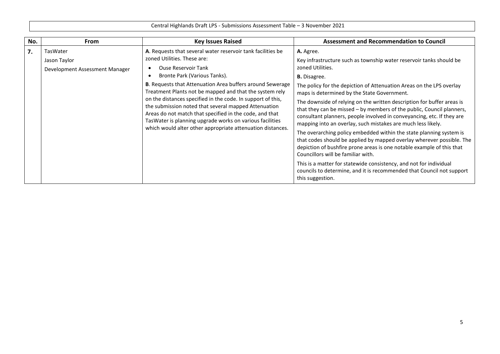| No. | <b>From</b>                                                | <b>Key Issues Raised</b>                                                                                                                                                                                                                                                                                                                                                                                                         | <b>Assessment and Recommendation to Council</b>                                                                                                                                                                                                                                                                                                                                                                                                                                                                                                                                                                                                                                                                                                                                                                                                    |
|-----|------------------------------------------------------------|----------------------------------------------------------------------------------------------------------------------------------------------------------------------------------------------------------------------------------------------------------------------------------------------------------------------------------------------------------------------------------------------------------------------------------|----------------------------------------------------------------------------------------------------------------------------------------------------------------------------------------------------------------------------------------------------------------------------------------------------------------------------------------------------------------------------------------------------------------------------------------------------------------------------------------------------------------------------------------------------------------------------------------------------------------------------------------------------------------------------------------------------------------------------------------------------------------------------------------------------------------------------------------------------|
| 7.  | TasWater<br>Jason Taylor<br>Development Assessment Manager | A. Requests that several water reservoir tank facilities be<br>zoned Utilities. These are:<br><b>Ouse Reservoir Tank</b><br>Bronte Park (Various Tanks).                                                                                                                                                                                                                                                                         | A. Agree.<br>Key infrastructure such as township water reservoir tanks should be<br>zoned Utilities.<br><b>B.</b> Disagree.                                                                                                                                                                                                                                                                                                                                                                                                                                                                                                                                                                                                                                                                                                                        |
|     |                                                            | B. Requests that Attenuation Area buffers around Sewerage<br>Treatment Plants not be mapped and that the system rely<br>on the distances specified in the code. In support of this,<br>the submission noted that several mapped Attenuation<br>Areas do not match that specified in the code, and that<br>TasWater is planning upgrade works on various facilities<br>which would alter other appropriate attenuation distances. | The policy for the depiction of Attenuation Areas on the LPS overlay<br>maps is determined by the State Government.<br>The downside of relying on the written description for buffer areas is<br>that they can be missed - by members of the public, Council planners,<br>consultant planners, people involved in conveyancing, etc. If they are<br>mapping into an overlay, such mistakes are much less likely.<br>The overarching policy embedded within the state planning system is<br>that codes should be applied by mapped overlay wherever possible. The<br>depiction of bushfire prone areas is one notable example of this that<br>Councillors will be familiar with.<br>This is a matter for statewide consistency, and not for individual<br>councils to determine, and it is recommended that Council not support<br>this suggestion. |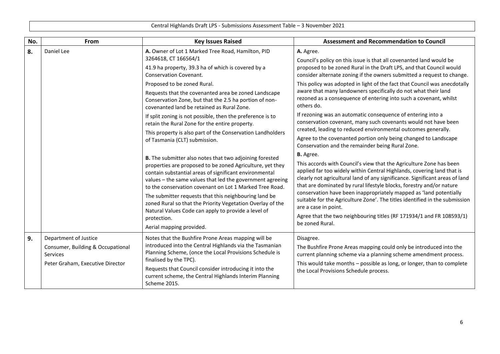| No. | From                                                                                                       | <b>Key Issues Raised</b>                                                                                                                                                                                                                                                                                                                                                                                                                                                                                                                                                | <b>Assessment and Recommendation to Council</b>                                                                                                                                                                                                                                                                                                                                                                                                                                                                                                                                                                                                                                                                                          |
|-----|------------------------------------------------------------------------------------------------------------|-------------------------------------------------------------------------------------------------------------------------------------------------------------------------------------------------------------------------------------------------------------------------------------------------------------------------------------------------------------------------------------------------------------------------------------------------------------------------------------------------------------------------------------------------------------------------|------------------------------------------------------------------------------------------------------------------------------------------------------------------------------------------------------------------------------------------------------------------------------------------------------------------------------------------------------------------------------------------------------------------------------------------------------------------------------------------------------------------------------------------------------------------------------------------------------------------------------------------------------------------------------------------------------------------------------------------|
| 8.  | Daniel Lee                                                                                                 | A. Owner of Lot 1 Marked Tree Road, Hamilton, PID<br>3264618, CT 166564/1<br>41.9 ha property, 39.3 ha of which is covered by a<br>Conservation Covenant.<br>Proposed to be zoned Rural.<br>Requests that the covenanted area be zoned Landscape<br>Conservation Zone, but that the 2.5 ha portion of non-<br>covenanted land be retained as Rural Zone.<br>If split zoning is not possible, then the preference is to<br>retain the Rural Zone for the entire property.<br>This property is also part of the Conservation Landholders<br>of Tasmania (CLT) submission. | A. Agree.<br>Council's policy on this issue is that all covenanted land would be<br>proposed to be zoned Rural in the Draft LPS, and that Council would<br>consider alternate zoning if the owners submitted a request to change.<br>This policy was adopted in light of the fact that Council was anecdotally<br>aware that many landowners specifically do not what their land<br>rezoned as a consequence of entering into such a covenant, whilst<br>others do.<br>If rezoning was an automatic consequence of entering into a<br>conservation covenant, many such covenants would not have been<br>created, leading to reduced environmental outcomes generally.<br>Agree to the covenanted portion only being changed to Landscape |
|     |                                                                                                            | <b>B.</b> The submitter also notes that two adjoining forested<br>properties are proposed to be zoned Agriculture, yet they<br>contain substantial areas of significant environmental<br>values - the same values that led the government agreeing<br>to the conservation covenant on Lot 1 Marked Tree Road.<br>The submitter requests that this neighbouring land be<br>zoned Rural so that the Priority Vegetation Overlay of the<br>Natural Values Code can apply to provide a level of<br>protection.<br>Aerial mapping provided.                                  | Conservation and the remainder being Rural Zone.<br><b>B.</b> Agree.<br>This accords with Council's view that the Agriculture Zone has been<br>applied far too widely within Central Highlands, covering land that is<br>clearly not agricultural land of any significance. Significant areas of land<br>that are dominated by rural lifestyle blocks, forestry and/or nature<br>conservation have been inappropriately mapped as 'land potentially<br>suitable for the Agriculture Zone'. The titles identified in the submission<br>are a case in point.<br>Agree that the two neighbouring titles (RF 171934/1 and FR 108593/1)<br>be zoned Rural.                                                                                    |
| 9.  | Department of Justice<br>Consumer, Building & Occupational<br>Services<br>Peter Graham, Executive Director | Notes that the Bushfire Prone Areas mapping will be<br>introduced into the Central Highlands via the Tasmanian<br>Planning Scheme, (once the Local Provisions Schedule is<br>finalised by the TPC).<br>Requests that Council consider introducing it into the<br>current scheme, the Central Highlands Interim Planning<br>Scheme 2015.                                                                                                                                                                                                                                 | Disagree.<br>The Bushfire Prone Areas mapping could only be introduced into the<br>current planning scheme via a planning scheme amendment process.<br>This would take months - possible as long, or longer, than to complete<br>the Local Provisions Schedule process.                                                                                                                                                                                                                                                                                                                                                                                                                                                                  |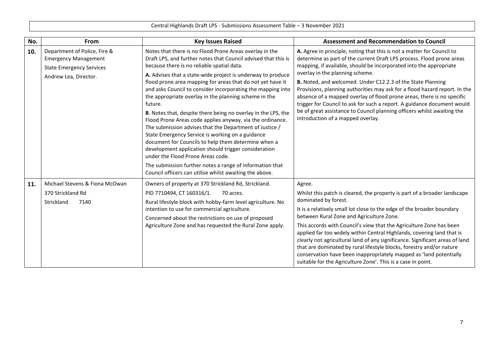| No. | From                                                                                                                    | <b>Key Issues Raised</b>                                                                                                                                                                                                                                                                                                                                                                                                                                                                                                                                                                                                                                                                                                                                                                                                                                                                                                                                        | <b>Assessment and Recommendation to Council</b>                                                                                                                                                                                                                                                                                                                                                                                                                                                                                                                                                                                                                                  |
|-----|-------------------------------------------------------------------------------------------------------------------------|-----------------------------------------------------------------------------------------------------------------------------------------------------------------------------------------------------------------------------------------------------------------------------------------------------------------------------------------------------------------------------------------------------------------------------------------------------------------------------------------------------------------------------------------------------------------------------------------------------------------------------------------------------------------------------------------------------------------------------------------------------------------------------------------------------------------------------------------------------------------------------------------------------------------------------------------------------------------|----------------------------------------------------------------------------------------------------------------------------------------------------------------------------------------------------------------------------------------------------------------------------------------------------------------------------------------------------------------------------------------------------------------------------------------------------------------------------------------------------------------------------------------------------------------------------------------------------------------------------------------------------------------------------------|
| 10. | Department of Police, Fire &<br><b>Emergency Management</b><br><b>State Emergency Services</b><br>Andrew Lea, Director. | Notes that there is no Flood Prone Areas overlay in the<br>Draft LPS, and further notes that Council advised that this is<br>because there is no reliable spatial data.<br>A. Advises that a state-wide project is underway to produce<br>flood prone area mapping for areas that do not yet have it<br>and asks Council to consider incorporating the mapping into<br>the appropriate overlay in the planning scheme in the<br>future.<br>B. Notes that, despite there being no overlay in the LPS, the<br>Flood Prone Areas code applies anyway, via the ordinance.<br>The submission advises that the Department of Justice /<br>State Emergency Service is working on a guidance<br>document for Councils to help them determine when a<br>development application should trigger consideration<br>under the Flood Prone Areas code.<br>The submission further notes a range of information that<br>Council officers can utilise whilst awaiting the above. | A. Agree in principle, noting that this is not a matter for Council to<br>determine as part of the current Draft LPS process. Flood prone areas<br>mapping, if available, should be incorporated into the appropriate<br>overlay in the planning scheme.<br>B. Noted, and welcomed. Under C12.2.3 of the State Planning<br>Provisions, planning authorities may ask for a flood hazard report. In the<br>absence of a mapped overlay of flood prone areas, there is no specific<br>trigger for Council to ask for such a report. A guidance document would<br>be of great assistance to Council planning officers whilst awaiting the<br>introduction of a mapped overlay.       |
| 11. | Michael Stevens & Fiona McOwan<br>370 Strickland Rd<br>Strickland<br>7140                                               | Owners of property at 370 Strickland Rd, Strickland.<br>PID 7710494, CT 160316/1.<br>70 acres.<br>Rural lifestyle block with hobby-farm level agriculture. No<br>intention to use for commercial agriculture.<br>Concerned about the restrictions on use of proposed<br>Agriculture Zone and has requested the Rural Zone apply.                                                                                                                                                                                                                                                                                                                                                                                                                                                                                                                                                                                                                                | Agree.<br>Whilst this patch is cleared, the property is part of a broader landscape<br>dominated by forest.<br>It is a relatively small lot close to the edge of the broader boundary<br>between Rural Zone and Agriculture Zone.<br>This accords with Council's view that the Agriculture Zone has been<br>applied far too widely within Central Highlands, covering land that is<br>clearly not agricultural land of any significance. Significant areas of land<br>that are dominated by rural lifestyle blocks, forestry and/or nature<br>conservation have been inappropriately mapped as 'land potentially<br>suitable for the Agriculture Zone'. This is a case in point. |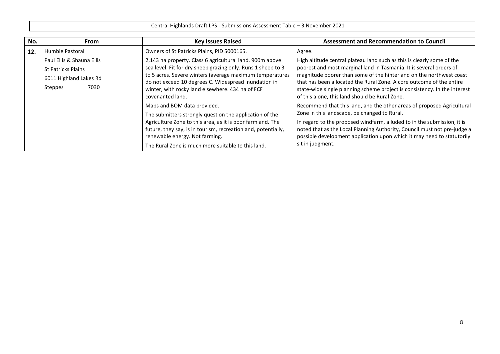| No. | <b>From</b>               | <b>Key Issues Raised</b>                                                                                         | <b>Assessment and Recommendation to Council</b>                                                                                                    |
|-----|---------------------------|------------------------------------------------------------------------------------------------------------------|----------------------------------------------------------------------------------------------------------------------------------------------------|
| 12. | Humbie Pastoral           | Owners of St Patricks Plains, PID 5000165.                                                                       | Agree.                                                                                                                                             |
|     | Paul Ellis & Shauna Ellis | 2,143 ha property. Class 6 agricultural land. 900m above                                                         | High altitude central plateau land such as this is clearly some of the                                                                             |
|     | St Patricks Plains        | sea level. Fit for dry sheep grazing only. Runs 1 sheep to 3                                                     | poorest and most marginal land in Tasmania. It is several orders of                                                                                |
|     | 6011 Highland Lakes Rd    | to 5 acres. Severe winters (average maximum temperatures<br>do not exceed 10 degrees C. Widespread inundation in | magnitude poorer than some of the hinterland on the northwest coast<br>that has been allocated the Rural Zone. A core outcome of the entire        |
|     | 7030<br>Steppes           | winter, with rocky land elsewhere. 434 ha of FCF<br>covenanted land.                                             | state-wide single planning scheme project is consistency. In the interest<br>of this alone, this land should be Rural Zone.                        |
|     |                           | Maps and BOM data provided.                                                                                      | Recommend that this land, and the other areas of proposed Agricultural                                                                             |
|     |                           | The submitters strongly question the application of the                                                          | Zone in this landscape, be changed to Rural.                                                                                                       |
|     |                           | Agriculture Zone to this area, as it is poor farmland. The                                                       | In regard to the proposed windfarm, alluded to in the submission, it is                                                                            |
|     |                           | future, they say, is in tourism, recreation and, potentially,<br>renewable energy. Not farming.                  | noted that as the Local Planning Authority, Council must not pre-judge a<br>possible development application upon which it may need to statutorily |
|     |                           | The Rural Zone is much more suitable to this land.                                                               | sit in judgment.                                                                                                                                   |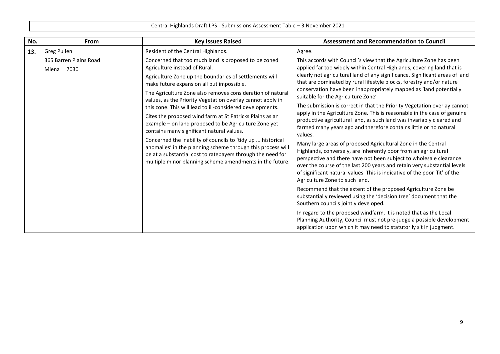| No. | <b>From</b>                             | <b>Key Issues Raised</b>                                                                                                                                                                                                                                                                                                                                                                                                                                                                                                                                                                                                                                                                                                                                                                                         | <b>Assessment and Recommendation to Council</b>                                                                                                                                                                                                                                                                                                                                                                                                                                                                                                                                                                                                                                                                                                                                                                                                                                                                                                                                                                                                                                                                                                                                                                                                                                                                                                                                                                                                                                                                                             |
|-----|-----------------------------------------|------------------------------------------------------------------------------------------------------------------------------------------------------------------------------------------------------------------------------------------------------------------------------------------------------------------------------------------------------------------------------------------------------------------------------------------------------------------------------------------------------------------------------------------------------------------------------------------------------------------------------------------------------------------------------------------------------------------------------------------------------------------------------------------------------------------|---------------------------------------------------------------------------------------------------------------------------------------------------------------------------------------------------------------------------------------------------------------------------------------------------------------------------------------------------------------------------------------------------------------------------------------------------------------------------------------------------------------------------------------------------------------------------------------------------------------------------------------------------------------------------------------------------------------------------------------------------------------------------------------------------------------------------------------------------------------------------------------------------------------------------------------------------------------------------------------------------------------------------------------------------------------------------------------------------------------------------------------------------------------------------------------------------------------------------------------------------------------------------------------------------------------------------------------------------------------------------------------------------------------------------------------------------------------------------------------------------------------------------------------------|
| 13. | Greg Pullen                             | Resident of the Central Highlands.                                                                                                                                                                                                                                                                                                                                                                                                                                                                                                                                                                                                                                                                                                                                                                               | Agree.                                                                                                                                                                                                                                                                                                                                                                                                                                                                                                                                                                                                                                                                                                                                                                                                                                                                                                                                                                                                                                                                                                                                                                                                                                                                                                                                                                                                                                                                                                                                      |
|     | 365 Barren Plains Road<br>7030<br>Miena | Concerned that too much land is proposed to be zoned<br>Agriculture instead of Rural.<br>Agriculture Zone up the boundaries of settlements will<br>make future expansion all but impossible.<br>The Agriculture Zone also removes consideration of natural<br>values, as the Priority Vegetation overlay cannot apply in<br>this zone. This will lead to ill-considered developments.<br>Cites the proposed wind farm at St Patricks Plains as an<br>example - on land proposed to be Agriculture Zone yet<br>contains many significant natural values.<br>Concerned the inability of councils to 'tidy up  historical<br>anomalies' in the planning scheme through this process will<br>be at a substantial cost to ratepayers through the need for<br>multiple minor planning scheme amendments in the future. | This accords with Council's view that the Agriculture Zone has been<br>applied far too widely within Central Highlands, covering land that is<br>clearly not agricultural land of any significance. Significant areas of land<br>that are dominated by rural lifestyle blocks, forestry and/or nature<br>conservation have been inappropriately mapped as 'land potentially<br>suitable for the Agriculture Zone'<br>The submission is correct in that the Priority Vegetation overlay cannot<br>apply in the Agriculture Zone. This is reasonable in the case of genuine<br>productive agricultural land, as such land was invariably cleared and<br>farmed many years ago and therefore contains little or no natural<br>values.<br>Many large areas of proposed Agricultural Zone in the Central<br>Highlands, conversely, are inherently poor from an agricultural<br>perspective and there have not been subject to wholesale clearance<br>over the course of the last 200 years and retain very substantial levels<br>of significant natural values. This is indicative of the poor 'fit' of the<br>Agriculture Zone to such land.<br>Recommend that the extent of the proposed Agriculture Zone be<br>substantially reviewed using the 'decision tree' document that the<br>Southern councils jointly developed.<br>In regard to the proposed windfarm, it is noted that as the Local<br>Planning Authority, Council must not pre-judge a possible development<br>application upon which it may need to statutorily sit in judgment. |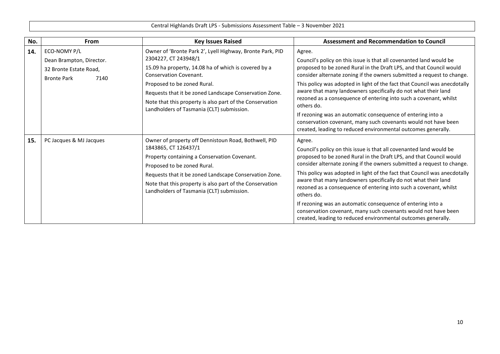| No. | From                                                                                             | <b>Key Issues Raised</b>                                                                                                                                                                                                                                                                                                       | <b>Assessment and Recommendation to Council</b>                                                                                                                                                                                                                                                                                                                                                                                                                                                                                                                                                                                                                    |
|-----|--------------------------------------------------------------------------------------------------|--------------------------------------------------------------------------------------------------------------------------------------------------------------------------------------------------------------------------------------------------------------------------------------------------------------------------------|--------------------------------------------------------------------------------------------------------------------------------------------------------------------------------------------------------------------------------------------------------------------------------------------------------------------------------------------------------------------------------------------------------------------------------------------------------------------------------------------------------------------------------------------------------------------------------------------------------------------------------------------------------------------|
| 14. | ECO-NOMY P/L<br>Dean Brampton, Director.<br>32 Bronte Estate Road,<br>7140<br><b>Bronte Park</b> | Owner of 'Bronte Park 2', Lyell Highway, Bronte Park, PID<br>2304227, CT 243948/1<br>15.09 ha property, 14.08 ha of which is covered by a<br>Conservation Covenant.<br>Proposed to be zoned Rural.<br>Requests that it be zoned Landscape Conservation Zone.                                                                   | Agree.<br>Council's policy on this issue is that all covenanted land would be<br>proposed to be zoned Rural in the Draft LPS, and that Council would<br>consider alternate zoning if the owners submitted a request to change.<br>This policy was adopted in light of the fact that Council was anecdotally<br>aware that many landowners specifically do not what their land                                                                                                                                                                                                                                                                                      |
|     |                                                                                                  | Note that this property is also part of the Conservation<br>Landholders of Tasmania (CLT) submission.                                                                                                                                                                                                                          | rezoned as a consequence of entering into such a covenant, whilst<br>others do.<br>If rezoning was an automatic consequence of entering into a<br>conservation covenant, many such covenants would not have been<br>created, leading to reduced environmental outcomes generally.                                                                                                                                                                                                                                                                                                                                                                                  |
| 15. | PC Jacques & MJ Jacques                                                                          | Owner of property off Dennistoun Road, Bothwell, PID<br>1843865, CT 126437/1<br>Property containing a Conservation Covenant.<br>Proposed to be zoned Rural.<br>Requests that it be zoned Landscape Conservation Zone.<br>Note that this property is also part of the Conservation<br>Landholders of Tasmania (CLT) submission. | Agree.<br>Council's policy on this issue is that all covenanted land would be<br>proposed to be zoned Rural in the Draft LPS, and that Council would<br>consider alternate zoning if the owners submitted a request to change.<br>This policy was adopted in light of the fact that Council was anecdotally<br>aware that many landowners specifically do not what their land<br>rezoned as a consequence of entering into such a covenant, whilst<br>others do.<br>If rezoning was an automatic consequence of entering into a<br>conservation covenant, many such covenants would not have been<br>created, leading to reduced environmental outcomes generally. |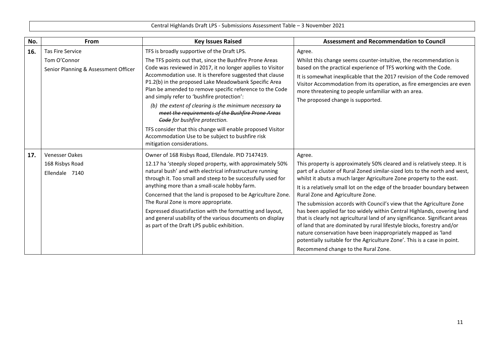| No. | <b>From</b>                                          | <b>Key Issues Raised</b>                                                                                                                                                                                                                                                                                                                                                                                                                                                                                                                                           | <b>Assessment and Recommendation to Council</b>                                                                                                                                                                                                                                                                                                                                                                                                                                                                                                                                                                                                                                                                                                                                                                                                 |
|-----|------------------------------------------------------|--------------------------------------------------------------------------------------------------------------------------------------------------------------------------------------------------------------------------------------------------------------------------------------------------------------------------------------------------------------------------------------------------------------------------------------------------------------------------------------------------------------------------------------------------------------------|-------------------------------------------------------------------------------------------------------------------------------------------------------------------------------------------------------------------------------------------------------------------------------------------------------------------------------------------------------------------------------------------------------------------------------------------------------------------------------------------------------------------------------------------------------------------------------------------------------------------------------------------------------------------------------------------------------------------------------------------------------------------------------------------------------------------------------------------------|
| 16. | <b>Tas Fire Service</b>                              | TFS is broadly supportive of the Draft LPS.                                                                                                                                                                                                                                                                                                                                                                                                                                                                                                                        | Agree.                                                                                                                                                                                                                                                                                                                                                                                                                                                                                                                                                                                                                                                                                                                                                                                                                                          |
|     | Tom O'Connor<br>Senior Planning & Assessment Officer | The TFS points out that, since the Bushfire Prone Areas<br>Code was reviewed in 2017, it no longer applies to Visitor<br>Accommodation use. It is therefore suggested that clause<br>P1.2(b) in the proposed Lake Meadowbank Specific Area<br>Plan be amended to remove specific reference to the Code<br>and simply refer to 'bushfire protection':<br>(b) the extent of clearing is the minimum necessary to<br>meet the requirements of the Bushfire Prone Areas<br>Gode for bushfire protection.<br>TFS consider that this change will enable proposed Visitor | Whilst this change seems counter-intuitive, the recommendation is<br>based on the practical experience of TFS working with the Code.<br>It is somewhat inexplicable that the 2017 revision of the Code removed<br>Visitor Accommodation from its operation, as fire emergencies are even<br>more threatening to people unfamiliar with an area.<br>The proposed change is supported.                                                                                                                                                                                                                                                                                                                                                                                                                                                            |
|     |                                                      | Accommodation Use to be subject to bushfire risk<br>mitigation considerations.                                                                                                                                                                                                                                                                                                                                                                                                                                                                                     |                                                                                                                                                                                                                                                                                                                                                                                                                                                                                                                                                                                                                                                                                                                                                                                                                                                 |
| 17. | <b>Venesser Oakes</b>                                | Owner of 168 Risbys Road, Ellendale. PID 7147419.                                                                                                                                                                                                                                                                                                                                                                                                                                                                                                                  | Agree.                                                                                                                                                                                                                                                                                                                                                                                                                                                                                                                                                                                                                                                                                                                                                                                                                                          |
|     | 168 Risbys Road<br>Ellendale 7140                    | 12.17 ha 'steeply sloped property, with approximately 50%<br>natural bush' and with electrical infrastructure running<br>through it. Too small and steep to be successfully used for<br>anything more than a small-scale hobby farm.<br>Concerned that the land is proposed to be Agriculture Zone.<br>The Rural Zone is more appropriate.<br>Expressed dissatisfaction with the formatting and layout,<br>and general usability of the various documents on display<br>as part of the Draft LPS public exhibition.                                                | This property is approximately 50% cleared and is relatively steep. It is<br>part of a cluster of Rural Zoned similar-sized lots to the north and west,<br>whilst it abuts a much larger Agriculture Zone property to the east.<br>It is a relatively small lot on the edge of the broader boundary between<br>Rural Zone and Agriculture Zone.<br>The submission accords with Council's view that the Agriculture Zone<br>has been applied far too widely within Central Highlands, covering land<br>that is clearly not agricultural land of any significance. Significant areas<br>of land that are dominated by rural lifestyle blocks, forestry and/or<br>nature conservation have been inappropriately mapped as 'land<br>potentially suitable for the Agriculture Zone'. This is a case in point.<br>Recommend change to the Rural Zone. |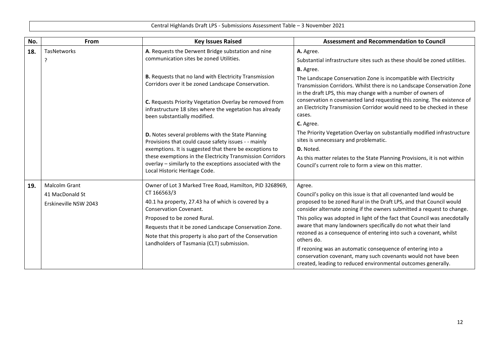| No. | From                                                             | <b>Key Issues Raised</b>                                                                                                                                                                                                                                                                                                                                  | <b>Assessment and Recommendation to Council</b>                                                                                                                                                                                                                                                                                                                                                                                                                                                                                                                                                                                                                    |
|-----|------------------------------------------------------------------|-----------------------------------------------------------------------------------------------------------------------------------------------------------------------------------------------------------------------------------------------------------------------------------------------------------------------------------------------------------|--------------------------------------------------------------------------------------------------------------------------------------------------------------------------------------------------------------------------------------------------------------------------------------------------------------------------------------------------------------------------------------------------------------------------------------------------------------------------------------------------------------------------------------------------------------------------------------------------------------------------------------------------------------------|
| 18. | <b>TasNetworks</b><br>P                                          | A. Requests the Derwent Bridge substation and nine<br>communication sites be zoned Utilities.                                                                                                                                                                                                                                                             | A. Agree.<br>Substantial infrastructure sites such as these should be zoned utilities.                                                                                                                                                                                                                                                                                                                                                                                                                                                                                                                                                                             |
|     |                                                                  | B. Requests that no land with Electricity Transmission<br>Corridors over it be zoned Landscape Conservation.<br>C. Requests Priority Vegetation Overlay be removed from<br>infrastructure 18 sites where the vegetation has already<br>been substantially modified.                                                                                       | <b>B.</b> Agree.<br>The Landscape Conservation Zone is incompatible with Electricity<br>Transmission Corridors. Whilst there is no Landscape Conservation Zone<br>in the draft LPS, this may change with a number of owners of<br>conservation n covenanted land requesting this zoning. The existence of<br>an Electricity Transmission Corridor would need to be checked in these<br>cases.<br>C. Agree.                                                                                                                                                                                                                                                         |
|     |                                                                  | D. Notes several problems with the State Planning<br>Provisions that could cause safety issues - - mainly<br>exemptions. It is suggested that there be exceptions to<br>these exemptions in the Electricity Transmission Corridors<br>overlay - similarly to the exceptions associated with the<br>Local Historic Heritage Code.                          | The Priority Vegetation Overlay on substantially modified infrastructure<br>sites is unnecessary and problematic.<br>D. Noted.<br>As this matter relates to the State Planning Provisions, it is not within<br>Council's current role to form a view on this matter.                                                                                                                                                                                                                                                                                                                                                                                               |
| 19. | <b>Malcolm Grant</b><br>41 MacDonald St<br>Erskineville NSW 2043 | Owner of Lot 3 Marked Tree Road, Hamilton, PID 3268969,<br>CT 166563/3<br>40.1 ha property, 27.43 ha of which is covered by a<br>Conservation Covenant.<br>Proposed to be zoned Rural.<br>Requests that it be zoned Landscape Conservation Zone.<br>Note that this property is also part of the Conservation<br>Landholders of Tasmania (CLT) submission. | Agree.<br>Council's policy on this issue is that all covenanted land would be<br>proposed to be zoned Rural in the Draft LPS, and that Council would<br>consider alternate zoning if the owners submitted a request to change.<br>This policy was adopted in light of the fact that Council was anecdotally<br>aware that many landowners specifically do not what their land<br>rezoned as a consequence of entering into such a covenant, whilst<br>others do.<br>If rezoning was an automatic consequence of entering into a<br>conservation covenant, many such covenants would not have been<br>created, leading to reduced environmental outcomes generally. |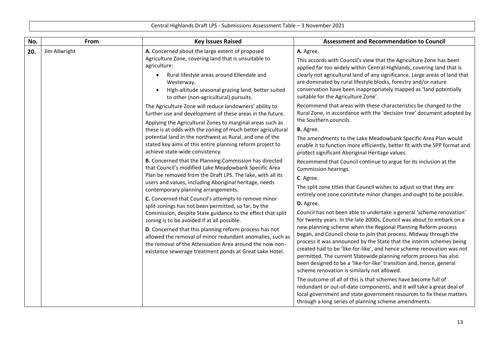| No. | From          | <b>Key Issues Raised</b>                                                                                                                                                                                                                                                                                                                                                                                                                                                                                                                                                                                                                                                                                                                                                                                                                                                                                                                                                                                                                                                                                                                                                   | <b>Assessment and Recommendation to Council</b>                                                                                                                                                                                                                                                                                                                                                                                                                                                                                                                                                                                                                                                                                                                                                                                                                                                                                                                                                                                                                                                                                                                                                                                                                                                                                                                            |
|-----|---------------|----------------------------------------------------------------------------------------------------------------------------------------------------------------------------------------------------------------------------------------------------------------------------------------------------------------------------------------------------------------------------------------------------------------------------------------------------------------------------------------------------------------------------------------------------------------------------------------------------------------------------------------------------------------------------------------------------------------------------------------------------------------------------------------------------------------------------------------------------------------------------------------------------------------------------------------------------------------------------------------------------------------------------------------------------------------------------------------------------------------------------------------------------------------------------|----------------------------------------------------------------------------------------------------------------------------------------------------------------------------------------------------------------------------------------------------------------------------------------------------------------------------------------------------------------------------------------------------------------------------------------------------------------------------------------------------------------------------------------------------------------------------------------------------------------------------------------------------------------------------------------------------------------------------------------------------------------------------------------------------------------------------------------------------------------------------------------------------------------------------------------------------------------------------------------------------------------------------------------------------------------------------------------------------------------------------------------------------------------------------------------------------------------------------------------------------------------------------------------------------------------------------------------------------------------------------|
| 20. | Jim Allwright | A. Concerned about the large extent of proposed<br>Agriculture Zone, covering land that is unsuitable to<br>agriculture:<br>Rural lifestyle areas around Ellendale and<br>Westerway.<br>High-altitude seasonal grazing land, better suited<br>to other (non-agricultural) pursuits.                                                                                                                                                                                                                                                                                                                                                                                                                                                                                                                                                                                                                                                                                                                                                                                                                                                                                        | A. Agree.<br>This accords with Council's view that the Agriculture Zone has been<br>applied far too widely within Central Highlands, covering land that is<br>clearly not agricultural land of any significance. Large areas of land that<br>are dominated by rural lifestyle blocks, forestry and/or nature<br>conservation have been inappropriately mapped as 'land potentially<br>suitable for the Agriculture Zone'.                                                                                                                                                                                                                                                                                                                                                                                                                                                                                                                                                                                                                                                                                                                                                                                                                                                                                                                                                  |
|     |               | The Agriculture Zone will reduce landowners' ability to<br>further use and development of these areas in the future.<br>Applying the Agricultural Zones to marginal areas such as<br>these is at odds with the zoning of much better agricultural<br>potential land in the northwest as Rural, and one of the<br>stated key aims of this entire planning reform project to<br>achieve state-wide consistency.<br>B. Concerned that the Planning Commission has directed<br>that Council's modified Lake Meadowbank Specific Area<br>Plan be removed from the Draft LPS. The lake, with all its<br>users and values, including Aboriginal heritage, needs<br>contemporary planning arrangements.<br>C. Concerned that Council's attempts to remove minor<br>split-zonings has not been permitted, so far, by the<br>Commission, despite State guidance to the effect that split<br>zoning is to be avoided if at all possible.<br>D. Concerned that this planning reform process has not<br>allowed the removal of minor redundant anomalies, such as<br>the removal of the Attenuation Area around the now non-<br>existence sewerage treatment ponds at Great Lake Hotel. | Recommend that areas with these characteristics be changed to the<br>Rural Zone, in accordance with the 'decision tree' document adopted by<br>the Southern councils.<br><b>B.</b> Agree.<br>The amendments to the Lake Meadowbank Specific Area Plan would<br>enable it to function more efficiently, better fit with the SPP format and<br>protect significant Aboriginal Heritage values.<br>Recommend that Council continue to argue for its inclusion at the<br>Commission hearings.<br>C. Agree.<br>The split zone titles that Council wishes to adjust so that they are<br>entirely one zone constitute minor changes and ought to be possible.<br>D. Agree.<br>Council has not been able to undertake a general 'scheme renovation'<br>for twenty years. In the late 2000s, Council was about to embark on a<br>new planning scheme when the Regional Planning Reform process<br>began, and Council chose to join that process. Midway through the<br>process it was announced by the State that the interim schemes being<br>created had to be 'like-for-like', and hence scheme renovation was not<br>permitted. The current Statewide planning reform process has also<br>been designed to be a 'like-for-like' transition and, hence, general<br>scheme renovation is similarly not allowed.<br>The outcome of all of this is that schemes have become full of |
|     |               |                                                                                                                                                                                                                                                                                                                                                                                                                                                                                                                                                                                                                                                                                                                                                                                                                                                                                                                                                                                                                                                                                                                                                                            | redundant or out-of-date components, and it will take a great deal of<br>local government and state government resources to fix these matters<br>through a long series of planning scheme amendments.                                                                                                                                                                                                                                                                                                                                                                                                                                                                                                                                                                                                                                                                                                                                                                                                                                                                                                                                                                                                                                                                                                                                                                      |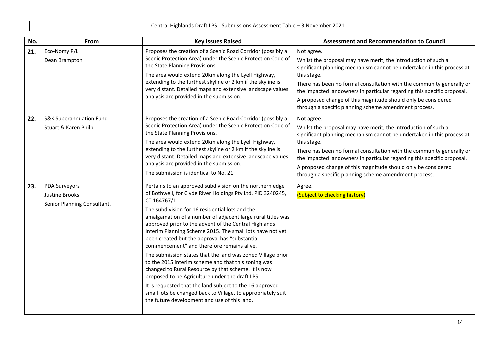| No. | From                                                                  | <b>Key Issues Raised</b>                                                                                                                                                                                                                                                                                                                                                                                                                                                                                                                                                                                                                                                                                                                                                                                                                                                                    | <b>Assessment and Recommendation to Council</b>                                                                                                                                                                                                                                                                                                                                                                                                     |
|-----|-----------------------------------------------------------------------|---------------------------------------------------------------------------------------------------------------------------------------------------------------------------------------------------------------------------------------------------------------------------------------------------------------------------------------------------------------------------------------------------------------------------------------------------------------------------------------------------------------------------------------------------------------------------------------------------------------------------------------------------------------------------------------------------------------------------------------------------------------------------------------------------------------------------------------------------------------------------------------------|-----------------------------------------------------------------------------------------------------------------------------------------------------------------------------------------------------------------------------------------------------------------------------------------------------------------------------------------------------------------------------------------------------------------------------------------------------|
| 21. | Eco-Nomy P/L<br>Dean Brampton                                         | Proposes the creation of a Scenic Road Corridor (possibly a<br>Scenic Protection Area) under the Scenic Protection Code of<br>the State Planning Provisions.<br>The area would extend 20km along the Lyell Highway,<br>extending to the furthest skyline or 2 km if the skyline is<br>very distant. Detailed maps and extensive landscape values<br>analysis are provided in the submission.                                                                                                                                                                                                                                                                                                                                                                                                                                                                                                | Not agree.<br>Whilst the proposal may have merit, the introduction of such a<br>significant planning mechanism cannot be undertaken in this process at<br>this stage.<br>There has been no formal consultation with the community generally or<br>the impacted landowners in particular regarding this specific proposal.<br>A proposed change of this magnitude should only be considered<br>through a specific planning scheme amendment process. |
| 22. | <b>S&amp;K Superannuation Fund</b><br>Stuart & Karen Philp            | Proposes the creation of a Scenic Road Corridor (possibly a<br>Scenic Protection Area) under the Scenic Protection Code of<br>the State Planning Provisions.<br>The area would extend 20km along the Lyell Highway,<br>extending to the furthest skyline or 2 km if the skyline is<br>very distant. Detailed maps and extensive landscape values<br>analysis are provided in the submission.<br>The submission is identical to No. 21.                                                                                                                                                                                                                                                                                                                                                                                                                                                      | Not agree.<br>Whilst the proposal may have merit, the introduction of such a<br>significant planning mechanism cannot be undertaken in this process at<br>this stage.<br>There has been no formal consultation with the community generally or<br>the impacted landowners in particular regarding this specific proposal.<br>A proposed change of this magnitude should only be considered<br>through a specific planning scheme amendment process. |
| 23. | <b>PDA Surveyors</b><br>Justine Brooks<br>Senior Planning Consultant. | Pertains to an approved subdivision on the northern edge<br>of Bothwell, for Clyde River Holdings Pty Ltd. PID 3240245,<br>CT 164767/1.<br>The subdivision for 16 residential lots and the<br>amalgamation of a number of adjacent large rural titles was<br>approved prior to the advent of the Central Highlands<br>Interim Planning Scheme 2015. The small lots have not yet<br>been created but the approval has "substantial<br>commencement" and therefore remains alive.<br>The submission states that the land was zoned Village prior<br>to the 2015 interim scheme and that this zoning was<br>changed to Rural Resource by that scheme. It is now<br>proposed to be Agriculture under the draft LPS.<br>It is requested that the land subject to the 16 approved<br>small lots be changed back to Village, to appropriately suit<br>the future development and use of this land. | Agree.<br>(Subject to checking history)                                                                                                                                                                                                                                                                                                                                                                                                             |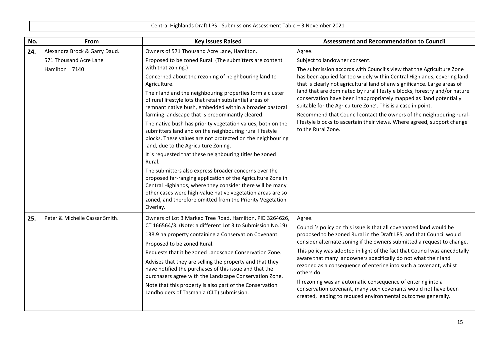| No. | From                                                                     | <b>Key Issues Raised</b>                                                                                                                                                                                                                                                                                                                                                                                                                                                                                                                                                                                                                                                                                                                                                                                                                                                                                                                                                                                                                                                      | <b>Assessment and Recommendation to Council</b>                                                                                                                                                                                                                                                                                                                                                                                                                                                                                                                                                                                                                     |
|-----|--------------------------------------------------------------------------|-------------------------------------------------------------------------------------------------------------------------------------------------------------------------------------------------------------------------------------------------------------------------------------------------------------------------------------------------------------------------------------------------------------------------------------------------------------------------------------------------------------------------------------------------------------------------------------------------------------------------------------------------------------------------------------------------------------------------------------------------------------------------------------------------------------------------------------------------------------------------------------------------------------------------------------------------------------------------------------------------------------------------------------------------------------------------------|---------------------------------------------------------------------------------------------------------------------------------------------------------------------------------------------------------------------------------------------------------------------------------------------------------------------------------------------------------------------------------------------------------------------------------------------------------------------------------------------------------------------------------------------------------------------------------------------------------------------------------------------------------------------|
| 24. | Alexandra Brock & Garry Daud.<br>571 Thousand Acre Lane<br>Hamilton 7140 | Owners of 571 Thousand Acre Lane, Hamilton.<br>Proposed to be zoned Rural. (The submitters are content<br>with that zoning.)<br>Concerned about the rezoning of neighbouring land to<br>Agriculture.<br>Their land and the neighbouring properties form a cluster<br>of rural lifestyle lots that retain substantial areas of<br>remnant native bush, embedded within a broader pastoral<br>farming landscape that is predominantly cleared.<br>The native bush has priority vegetation values, both on the<br>submitters land and on the neighbouring rural lifestyle<br>blocks. These values are not protected on the neighbouring<br>land, due to the Agriculture Zoning.<br>It is requested that these neighbouring titles be zoned<br>Rural.<br>The submitters also express broader concerns over the<br>proposed far-ranging application of the Agriculture Zone in<br>Central Highlands, where they consider there will be many<br>other cases were high-value native vegetation areas are so<br>zoned, and therefore omitted from the Priority Vegetation<br>Overlay. | Agree.<br>Subject to landowner consent.<br>The submission accords with Council's view that the Agriculture Zone<br>has been applied far too widely within Central Highlands, covering land<br>that is clearly not agricultural land of any significance. Large areas of<br>land that are dominated by rural lifestyle blocks, forestry and/or nature<br>conservation have been inappropriately mapped as 'land potentially<br>suitable for the Agriculture Zone'. This is a case in point.<br>Recommend that Council contact the owners of the neighbouring rural-<br>lifestyle blocks to ascertain their views. Where agreed, support change<br>to the Rural Zone. |
| 25. | Peter & Michelle Cassar Smith.                                           | Owners of Lot 3 Marked Tree Road, Hamilton, PID 3264626,<br>CT 166564/3. (Note: a different Lot 3 to Submission No.19)<br>138.9 ha property containing a Conservation Covenant.<br>Proposed to be zoned Rural.<br>Requests that it be zoned Landscape Conservation Zone.<br>Advises that they are selling the property and that they<br>have notified the purchases of this issue and that the<br>purchasers agree with the Landscape Conservation Zone.<br>Note that this property is also part of the Conservation<br>Landholders of Tasmania (CLT) submission.                                                                                                                                                                                                                                                                                                                                                                                                                                                                                                             | Agree.<br>Council's policy on this issue is that all covenanted land would be<br>proposed to be zoned Rural in the Draft LPS, and that Council would<br>consider alternate zoning if the owners submitted a request to change.<br>This policy was adopted in light of the fact that Council was anecdotally<br>aware that many landowners specifically do not what their land<br>rezoned as a consequence of entering into such a covenant, whilst<br>others do.<br>If rezoning was an automatic consequence of entering into a<br>conservation covenant, many such covenants would not have been<br>created, leading to reduced environmental outcomes generally.  |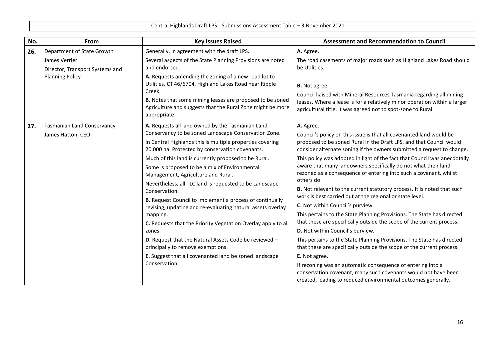| No. | From                                                                                                     | <b>Key Issues Raised</b>                                                                                                                                                                                                                                                                                                                                                                                                                                                                                                                                                                                                                                                                                                                                                                                                                       | <b>Assessment and Recommendation to Council</b>                                                                                                                                                                                                                                                                                                                                                                                                                                                                                                                                                                                                                                                                                                                                                                                                                                                                                                                                                                                                                                                                                                                                                             |
|-----|----------------------------------------------------------------------------------------------------------|------------------------------------------------------------------------------------------------------------------------------------------------------------------------------------------------------------------------------------------------------------------------------------------------------------------------------------------------------------------------------------------------------------------------------------------------------------------------------------------------------------------------------------------------------------------------------------------------------------------------------------------------------------------------------------------------------------------------------------------------------------------------------------------------------------------------------------------------|-------------------------------------------------------------------------------------------------------------------------------------------------------------------------------------------------------------------------------------------------------------------------------------------------------------------------------------------------------------------------------------------------------------------------------------------------------------------------------------------------------------------------------------------------------------------------------------------------------------------------------------------------------------------------------------------------------------------------------------------------------------------------------------------------------------------------------------------------------------------------------------------------------------------------------------------------------------------------------------------------------------------------------------------------------------------------------------------------------------------------------------------------------------------------------------------------------------|
| 26. | Department of State Growth<br>James Verrier<br>Director, Transport Systems and<br><b>Planning Policy</b> | Generally, in agreement with the draft LPS.<br>Several aspects of the State Planning Provisions are noted<br>and endorsed.<br>A. Requests amending the zoning of a new road lot to<br>Utilities. CT 46/6704, Highland Lakes Road near Ripple<br>Creek.<br>B. Notes that some mining leases are proposed to be zoned<br>Agriculture and suggests that the Rural Zone might be more<br>appropriate.                                                                                                                                                                                                                                                                                                                                                                                                                                              | A. Agree.<br>The road casements of major roads such as Highland Lakes Road should<br>be Utilities.<br><b>B.</b> Not agree.<br>Council liaised with Mineral Resources Tasmania regarding all mining<br>leases. Where a lease is for a relatively minor operation within a larger<br>agricultural title, it was agreed not to spot-zone to Rural.                                                                                                                                                                                                                                                                                                                                                                                                                                                                                                                                                                                                                                                                                                                                                                                                                                                             |
| 27. | <b>Tasmanian Land Conservancy</b><br>James Hatton, CEO                                                   | A. Requests all land owned by the Tasmanian Land<br>Conservancy to be zoned Landscape Conservation Zone.<br>In Central Highlands this is multiple properties covering<br>20,000 ha. Protected by conservation covenants.<br>Much of this land is currently proposed to be Rural.<br>Some is proposed to be a mix of Environmental<br>Management, Agriculture and Rural.<br>Nevertheless, all TLC land is requested to be Landscape<br>Conservation.<br>B. Request Council to implement a process of continually<br>revising, updating and re-evaluating natural assets overlay<br>mapping.<br>C. Requests that the Priority Vegetation Overlay apply to all<br>zones.<br>D. Request that the Natural Assets Code be reviewed -<br>principally to remove exemptions.<br>E. Suggest that all covenanted land be zoned landscape<br>Conservation. | A. Agree.<br>Council's policy on this issue is that all covenanted land would be<br>proposed to be zoned Rural in the Draft LPS, and that Council would<br>consider alternate zoning if the owners submitted a request to change.<br>This policy was adopted in light of the fact that Council was anecdotally<br>aware that many landowners specifically do not what their land<br>rezoned as a consequence of entering into such a covenant, whilst<br>others do.<br>B. Not relevant to the current statutory process. It is noted that such<br>work is best carried out at the regional or state level.<br>C. Not within Council's purview.<br>This pertains to the State Planning Provisions. The State has directed<br>that these are specifically outside the scope of the current process.<br>D. Not within Council's purview.<br>This pertains to the State Planning Provisions. The State has directed<br>that these are specifically outside the scope of the current process.<br>E. Not agree.<br>If rezoning was an automatic consequence of entering into a<br>conservation covenant, many such covenants would not have been<br>created, leading to reduced environmental outcomes generally. |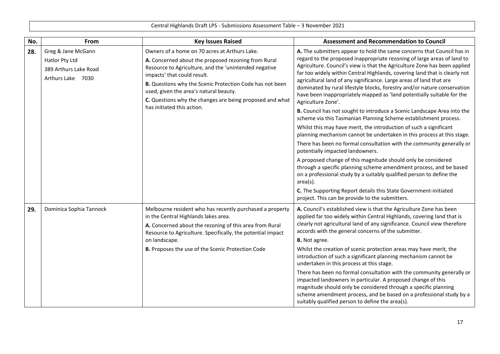| No. | From                                                                               | <b>Key Issues Raised</b>                                                                                                                                                                                                                                                                                                                                       | <b>Assessment and Recommendation to Council</b>                                                                                                                                                                                                                                                                                                                                                                                                                                                                                                                 |
|-----|------------------------------------------------------------------------------------|----------------------------------------------------------------------------------------------------------------------------------------------------------------------------------------------------------------------------------------------------------------------------------------------------------------------------------------------------------------|-----------------------------------------------------------------------------------------------------------------------------------------------------------------------------------------------------------------------------------------------------------------------------------------------------------------------------------------------------------------------------------------------------------------------------------------------------------------------------------------------------------------------------------------------------------------|
| 28. | Greg & Jane McGann<br>Hatlor Pty Ltd<br>389 Arthurs Lake Road<br>Arthurs Lake 7030 | Owners of a home on 70 acres at Arthurs Lake.<br>A. Concerned about the proposed rezoning from Rural<br>Resource to Agriculture, and the 'unintended negative<br>impacts' that could result.<br>B. Questions why the Scenic Protection Code has not been<br>used, given the area's natural beauty.<br>C. Questions why the changes are being proposed and what | A. The submitters appear to hold the same concerns that Council has in<br>regard to the proposed inappropriate rezoning of large areas of land to<br>Agriculture. Council's view is that the Agriculture Zone has been applied<br>far too widely within Central Highlands, covering land that is clearly not<br>agricultural land of any significance. Large areas of land that are<br>dominated by rural lifestyle blocks, forestry and/or nature conservation<br>have been inappropriately mapped as 'land potentially suitable for the<br>Agriculture Zone'. |
|     |                                                                                    | has initiated this action.                                                                                                                                                                                                                                                                                                                                     | B. Council has not sought to introduce a Scenic Landscape Area into the<br>scheme via this Tasmanian Planning Scheme establishment process.<br>Whilst this may have merit, the introduction of such a significant                                                                                                                                                                                                                                                                                                                                               |
|     |                                                                                    |                                                                                                                                                                                                                                                                                                                                                                | planning mechanism cannot be undertaken in this process at this stage.<br>There has been no formal consultation with the community generally or<br>potentially impacted landowners.                                                                                                                                                                                                                                                                                                                                                                             |
|     |                                                                                    |                                                                                                                                                                                                                                                                                                                                                                | A proposed change of this magnitude should only be considered<br>through a specific planning scheme amendment process, and be based<br>on a professional study by a suitably qualified person to define the<br>$area(s)$ .                                                                                                                                                                                                                                                                                                                                      |
|     |                                                                                    |                                                                                                                                                                                                                                                                                                                                                                | C. The Supporting Report details this State Government-initiated<br>project. This can be provide to the submitters.                                                                                                                                                                                                                                                                                                                                                                                                                                             |
| 29. | Dominica Sophia Tannock                                                            | Melbourne resident who has recently purchased a property<br>in the Central Highlands lakes area.<br>A. Concerned about the rezoning of this area from Rural<br>Resource to Agriculture. Specifically, the potential impact<br>on landscape.                                                                                                                    | A. Council's established view is that the Agriculture Zone has been<br>applied far too widely within Central Highlands, covering land that is<br>clearly not agricultural land of any significance. Council view therefore<br>accords with the general concerns of the submitter.<br><b>B.</b> Not agree.                                                                                                                                                                                                                                                       |
|     |                                                                                    | B. Proposes the use of the Scenic Protection Code                                                                                                                                                                                                                                                                                                              | Whilst the creation of scenic protection areas may have merit, the<br>introduction of such a significant planning mechanism cannot be<br>undertaken in this process at this stage.                                                                                                                                                                                                                                                                                                                                                                              |
|     |                                                                                    |                                                                                                                                                                                                                                                                                                                                                                | There has been no formal consultation with the community generally or<br>impacted landowners in particular. A proposed change of this<br>magnitude should only be considered through a specific planning<br>scheme amendment process, and be based on a professional study by a<br>suitably qualified person to define the area(s).                                                                                                                                                                                                                             |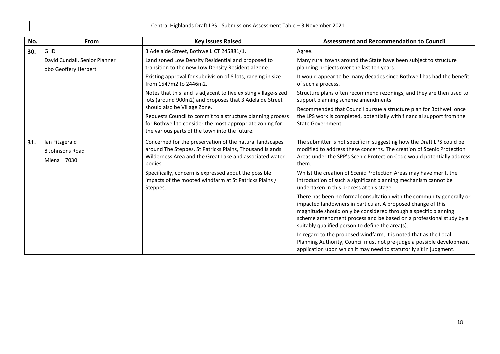| No. | From                                                  | <b>Key Issues Raised</b>                                                                                                                                                                                 | <b>Assessment and Recommendation to Council</b>                                                                                                                                                                                                                                                                                    |
|-----|-------------------------------------------------------|----------------------------------------------------------------------------------------------------------------------------------------------------------------------------------------------------------|------------------------------------------------------------------------------------------------------------------------------------------------------------------------------------------------------------------------------------------------------------------------------------------------------------------------------------|
| 30. | GHD                                                   | 3 Adelaide Street, Bothwell. CT 245881/1.                                                                                                                                                                | Agree.                                                                                                                                                                                                                                                                                                                             |
|     | David Cundall, Senior Planner<br>obo Geoffery Herbert | Land zoned Low Density Residential and proposed to<br>transition to the new Low Density Residential zone.                                                                                                | Many rural towns around the State have been subject to structure<br>planning projects over the last ten years.                                                                                                                                                                                                                     |
|     |                                                       | Existing approval for subdivision of 8 lots, ranging in size<br>from 1547m2 to 2446m2.                                                                                                                   | It would appear to be many decades since Bothwell has had the benefit<br>of such a process.                                                                                                                                                                                                                                        |
|     |                                                       | Notes that this land is adjacent to five existing village-sized<br>lots (around 900m2) and proposes that 3 Adelaide Street                                                                               | Structure plans often recommend rezonings, and they are then used to<br>support planning scheme amendments.                                                                                                                                                                                                                        |
|     |                                                       | should also be Village Zone.<br>Requests Council to commit to a structure planning process<br>for Bothwell to consider the most appropriate zoning for<br>the various parts of the town into the future. | Recommended that Council pursue a structure plan for Bothwell once<br>the LPS work is completed, potentially with financial support from the<br>State Government.                                                                                                                                                                  |
| 31. | Ian Fitzgerald<br>8 Johnsons Road<br>Miena 7030       | Concerned for the preservation of the natural landscapes<br>around The Steppes, St Patricks Plains, Thousand Islands<br>Wilderness Area and the Great Lake and associated water<br>bodies.               | The submitter is not specific in suggesting how the Draft LPS could be<br>modified to address these concerns. The creation of Scenic Protection<br>Areas under the SPP's Scenic Protection Code would potentially address<br>them.                                                                                                 |
|     |                                                       | Specifically, concern is expressed about the possible<br>impacts of the mooted windfarm at St Patricks Plains /<br>Steppes.                                                                              | Whilst the creation of Scenic Protection Areas may have merit, the<br>introduction of such a significant planning mechanism cannot be<br>undertaken in this process at this stage.                                                                                                                                                 |
|     |                                                       |                                                                                                                                                                                                          | There has been no formal consultation with the community generally or<br>impacted landowners in particular. A proposed change of this<br>magnitude should only be considered through a specific planning<br>scheme amendment process and be based on a professional study by a<br>suitably qualified person to define the area(s). |
|     |                                                       |                                                                                                                                                                                                          | In regard to the proposed windfarm, it is noted that as the Local<br>Planning Authority, Council must not pre-judge a possible development<br>application upon which it may need to statutorily sit in judgment.                                                                                                                   |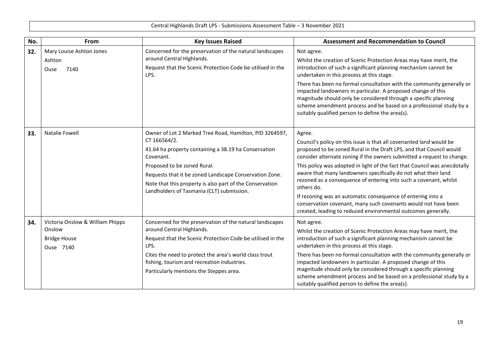| No. | From                                                                           | <b>Key Issues Raised</b>                                                                                                                                                                                                                                                                                                                       | <b>Assessment and Recommendation to Council</b>                                                                                                                                                                                                                                                                                                                                                                                                                                                                                                                                                                                                                    |
|-----|--------------------------------------------------------------------------------|------------------------------------------------------------------------------------------------------------------------------------------------------------------------------------------------------------------------------------------------------------------------------------------------------------------------------------------------|--------------------------------------------------------------------------------------------------------------------------------------------------------------------------------------------------------------------------------------------------------------------------------------------------------------------------------------------------------------------------------------------------------------------------------------------------------------------------------------------------------------------------------------------------------------------------------------------------------------------------------------------------------------------|
| 32. | Mary Louise Ashton Jones<br>Ashton<br>7140<br>Ouse                             | Concerned for the preservation of the natural landscapes<br>around Central Highlands.<br>Request that the Scenic Protection Code be utilised in the<br>LPS.                                                                                                                                                                                    | Not agree.<br>Whilst the creation of Scenic Protection Areas may have merit, the<br>introduction of such a significant planning mechanism cannot be<br>undertaken in this process at this stage.<br>There has been no formal consultation with the community generally or<br>impacted landowners in particular. A proposed change of this<br>magnitude should only be considered through a specific planning<br>scheme amendment process and be based on a professional study by a<br>suitably qualified person to define the area(s).                                                                                                                             |
| 33. | <b>Natalie Fowell</b>                                                          | Owner of Lot 2 Marked Tree Road, Hamilton, PID 3264597,<br>CT 166564/2.<br>41.64 ha property containing a 38.19 ha Conservation<br>Covenant.<br>Proposed to be zoned Rural.<br>Requests that it be zoned Landscape Conservation Zone.<br>Note that this property is also part of the Conservation<br>Landholders of Tasmania (CLT) submission. | Agree.<br>Council's policy on this issue is that all covenanted land would be<br>proposed to be zoned Rural in the Draft LPS, and that Council would<br>consider alternate zoning if the owners submitted a request to change.<br>This policy was adopted in light of the fact that Council was anecdotally<br>aware that many landowners specifically do not what their land<br>rezoned as a consequence of entering into such a covenant, whilst<br>others do.<br>If rezoning was an automatic consequence of entering into a<br>conservation covenant, many such covenants would not have been<br>created, leading to reduced environmental outcomes generally. |
| 34. | Victoria Onslow & William Phipps<br>Onslow<br><b>Bridge House</b><br>Ouse 7140 | Concerned for the preservation of the natural landscapes<br>around Central Highlands.<br>Request that the Scenic Protection Code be utilised in the<br>LPS.<br>Cites the need to protect the area's world class trout<br>fishing, tourism and recreation industries.<br>Particularly mentions the Steppes area.                                | Not agree.<br>Whilst the creation of Scenic Protection Areas may have merit, the<br>introduction of such a significant planning mechanism cannot be<br>undertaken in this process at this stage.<br>There has been no formal consultation with the community generally or<br>impacted landowners in particular. A proposed change of this<br>magnitude should only be considered through a specific planning<br>scheme amendment process and be based on a professional study by a<br>suitably qualified person to define the area(s).                                                                                                                             |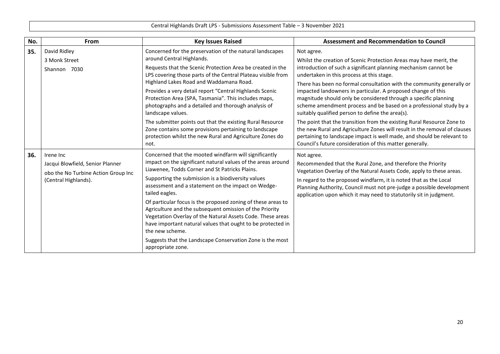| No. | <b>From</b>                                                 | <b>Key Issues Raised</b>                                                                                                                                                                                                                                                | <b>Assessment and Recommendation to Council</b>                                                                                                                                                                                                                                                                                    |
|-----|-------------------------------------------------------------|-------------------------------------------------------------------------------------------------------------------------------------------------------------------------------------------------------------------------------------------------------------------------|------------------------------------------------------------------------------------------------------------------------------------------------------------------------------------------------------------------------------------------------------------------------------------------------------------------------------------|
| 35. | David Ridley<br>3 Monk Street                               | Concerned for the preservation of the natural landscapes<br>around Central Highlands.                                                                                                                                                                                   | Not agree.<br>Whilst the creation of Scenic Protection Areas may have merit, the                                                                                                                                                                                                                                                   |
|     | Shannon 7030                                                | Requests that the Scenic Protection Area be created in the<br>LPS covering those parts of the Central Plateau visible from                                                                                                                                              | introduction of such a significant planning mechanism cannot be<br>undertaken in this process at this stage.                                                                                                                                                                                                                       |
|     |                                                             | Highland Lakes Road and Waddamana Road.<br>Provides a very detail report "Central Highlands Scenic<br>Protection Area (SPA, Tasmania". This includes maps,<br>photographs and a detailed and thorough analysis of<br>landscape values.                                  | There has been no formal consultation with the community generally or<br>impacted landowners in particular. A proposed change of this<br>magnitude should only be considered through a specific planning<br>scheme amendment process and be based on a professional study by a<br>suitably qualified person to define the area(s). |
|     |                                                             | The submitter points out that the existing Rural Resource<br>Zone contains some provisions pertaining to landscape<br>protection whilst the new Rural and Agriculture Zones do<br>not.                                                                                  | The point that the transition from the existing Rural Resource Zone to<br>the new Rural and Agriculture Zones will result in the removal of clauses<br>pertaining to landscape impact is well made, and should be relevant to<br>Council's future consideration of this matter generally.                                          |
| 36. | Irene Inc<br>Jacqui Blowfield, Senior Planner               | Concerned that the mooted windfarm will significantly<br>impact on the significant natural values of the areas around                                                                                                                                                   | Not agree.<br>Recommended that the Rural Zone, and therefore the Priority                                                                                                                                                                                                                                                          |
|     | obo the No Turbine Action Group Inc<br>(Central Highlands). | Liawenee, Todds Corner and St Patricks Plains.<br>Supporting the submission is a biodiversity values<br>assessment and a statement on the impact on Wedge-<br>tailed eagles.                                                                                            | Vegetation Overlay of the Natural Assets Code, apply to these areas.<br>In regard to the proposed windfarm, it is noted that as the Local<br>Planning Authority, Council must not pre-judge a possible development<br>application upon which it may need to statutorily sit in judgment.                                           |
|     |                                                             | Of particular focus is the proposed zoning of these areas to<br>Agriculture and the subsequent omission of the Priority<br>Vegetation Overlay of the Natural Assets Code. These areas<br>have important natural values that ought to be protected in<br>the new scheme. |                                                                                                                                                                                                                                                                                                                                    |
|     |                                                             | Suggests that the Landscape Conservation Zone is the most<br>appropriate zone.                                                                                                                                                                                          |                                                                                                                                                                                                                                                                                                                                    |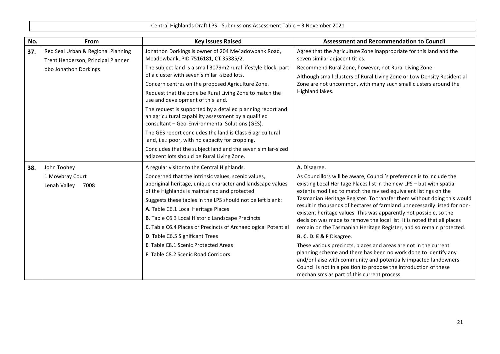| No. | <b>From</b>                                                              | <b>Key Issues Raised</b>                                                                                                                                              | <b>Assessment and Recommendation to Council</b>                                                                                                                                                                                                          |
|-----|--------------------------------------------------------------------------|-----------------------------------------------------------------------------------------------------------------------------------------------------------------------|----------------------------------------------------------------------------------------------------------------------------------------------------------------------------------------------------------------------------------------------------------|
| 37. | Red Seal Urban & Regional Planning<br>Trent Henderson, Principal Planner | Jonathon Dorkings is owner of 204 Me4adowbank Road,<br>Meadowbank, PID 7516181, CT 35385/2.                                                                           | Agree that the Agriculture Zone inappropriate for this land and the<br>seven similar adjacent titles.                                                                                                                                                    |
|     | obo Jonathon Dorkings                                                    | The subject land is a small 3079m2 rural lifestyle block, part<br>of a cluster with seven similar -sized lots.                                                        | Recommend Rural Zone, however, not Rural Living Zone.<br>Although small clusters of Rural Living Zone or Low Density Residential                                                                                                                         |
|     |                                                                          | Concern centres on the proposed Agriculture Zone.                                                                                                                     | Zone are not uncommon, with many such small clusters around the                                                                                                                                                                                          |
|     |                                                                          | Request that the zone be Rural Living Zone to match the<br>use and development of this land.                                                                          | Highland lakes.                                                                                                                                                                                                                                          |
|     |                                                                          | The request is supported by a detailed planning report and<br>an agricultural capability assessment by a qualified<br>consultant - Geo-Environmental Solutions (GES). |                                                                                                                                                                                                                                                          |
|     |                                                                          | The GES report concludes the land is Class 6 agricultural<br>land, i.e.: poor, with no capacity for cropping.                                                         |                                                                                                                                                                                                                                                          |
|     |                                                                          | Concludes that the subject land and the seven similar-sized<br>adjacent lots should be Rural Living Zone.                                                             |                                                                                                                                                                                                                                                          |
| 38. | John Toohey                                                              | A regular visitor to the Central Highlands.                                                                                                                           | A. Disagree.                                                                                                                                                                                                                                             |
|     | 1 Mowbray Court                                                          | Concerned that the intrinsic values, scenic values,                                                                                                                   | As Councillors will be aware, Council's preference is to include the                                                                                                                                                                                     |
|     | Lenah Valley<br>7008                                                     | aboriginal heritage, unique character and landscape values<br>of the Highlands is maintained and protected.                                                           | existing Local Heritage Places list in the new LPS - but with spatial<br>extents modified to match the revised equivalent listings on the                                                                                                                |
|     |                                                                          | Suggests these tables in the LPS should not be left blank:                                                                                                            | Tasmanian Heritage Register. To transfer them without doing this would                                                                                                                                                                                   |
|     |                                                                          | A. Table C6.1 Local Heritage Places                                                                                                                                   | result in thousands of hectares of farmland unnecessarily listed for non-<br>existent heritage values. This was apparently not possible, so the                                                                                                          |
|     |                                                                          | <b>B.</b> Table C6.3 Local Historic Landscape Precincts                                                                                                               | decision was made to remove the local list. It is noted that all places                                                                                                                                                                                  |
|     |                                                                          | C. Table C6.4 Places or Precincts of Archaeological Potential                                                                                                         | remain on the Tasmanian Heritage Register, and so remain protected.                                                                                                                                                                                      |
|     |                                                                          | D. Table C6.5 Significant Trees                                                                                                                                       | B. C. D. E & F Disagree.                                                                                                                                                                                                                                 |
|     |                                                                          | E. Table C8.1 Scenic Protected Areas                                                                                                                                  | These various precincts, places and areas are not in the current                                                                                                                                                                                         |
|     |                                                                          | F. Table C8.2 Scenic Road Corridors                                                                                                                                   | planning scheme and there has been no work done to identify any<br>and/or liaise with community and potentially impacted landowners.<br>Council is not in a position to propose the introduction of these<br>mechanisms as part of this current process. |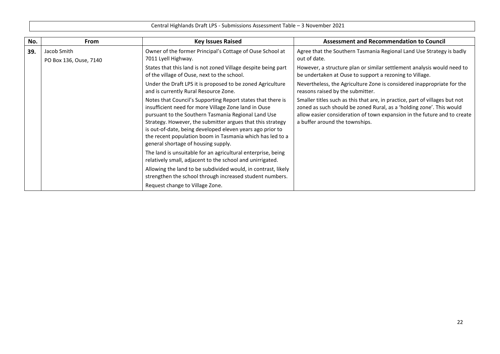| No. | <b>From</b>                           | <b>Key Issues Raised</b>                                                                                                                                                                                                                                                                                                                                                                                  | <b>Assessment and Recommendation to Council</b>                                                                                                                                                                                                                   |
|-----|---------------------------------------|-----------------------------------------------------------------------------------------------------------------------------------------------------------------------------------------------------------------------------------------------------------------------------------------------------------------------------------------------------------------------------------------------------------|-------------------------------------------------------------------------------------------------------------------------------------------------------------------------------------------------------------------------------------------------------------------|
| 39. | Jacob Smith<br>PO Box 136, Ouse, 7140 | Owner of the former Principal's Cottage of Ouse School at<br>7011 Lyell Highway.                                                                                                                                                                                                                                                                                                                          | Agree that the Southern Tasmania Regional Land Use Strategy is badly<br>out of date.                                                                                                                                                                              |
|     |                                       | States that this land is not zoned Village despite being part<br>of the village of Ouse, next to the school.                                                                                                                                                                                                                                                                                              | However, a structure plan or similar settlement analysis would need to<br>be undertaken at Ouse to support a rezoning to Village.                                                                                                                                 |
|     |                                       | Under the Draft LPS it is proposed to be zoned Agriculture<br>and is currently Rural Resource Zone.                                                                                                                                                                                                                                                                                                       | Nevertheless, the Agriculture Zone is considered inappropriate for the<br>reasons raised by the submitter.                                                                                                                                                        |
|     |                                       | Notes that Council's Supporting Report states that there is<br>insufficient need for more Village Zone land in Ouse<br>pursuant to the Southern Tasmania Regional Land Use<br>Strategy. However, the submitter argues that this strategy<br>is out-of-date, being developed eleven years ago prior to<br>the recent population boom in Tasmania which has led to a<br>general shortage of housing supply. | Smaller titles such as this that are, in practice, part of villages but not<br>zoned as such should be zoned Rural, as a 'holding zone'. This would<br>allow easier consideration of town expansion in the future and to create<br>a buffer around the townships. |
|     |                                       | The land is unsuitable for an agricultural enterprise, being<br>relatively small, adjacent to the school and unirrigated.                                                                                                                                                                                                                                                                                 |                                                                                                                                                                                                                                                                   |
|     |                                       | Allowing the land to be subdivided would, in contrast, likely<br>strengthen the school through increased student numbers.                                                                                                                                                                                                                                                                                 |                                                                                                                                                                                                                                                                   |
|     |                                       | Request change to Village Zone.                                                                                                                                                                                                                                                                                                                                                                           |                                                                                                                                                                                                                                                                   |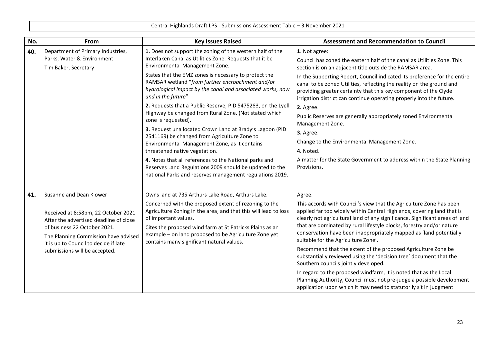| No. | <b>From</b>                                                                                                                                                                                                                                                 | <b>Key Issues Raised</b>                                                                                                                                                                                                                                                                                                                                                                                                                                                                                                                                                                                                                                                                                                                                                                                                                                                                | <b>Assessment and Recommendation to Council</b>                                                                                                                                                                                                                                                                                                                                                                                                                                                                                                                                                                                                                                                                                                                                                                                 |
|-----|-------------------------------------------------------------------------------------------------------------------------------------------------------------------------------------------------------------------------------------------------------------|-----------------------------------------------------------------------------------------------------------------------------------------------------------------------------------------------------------------------------------------------------------------------------------------------------------------------------------------------------------------------------------------------------------------------------------------------------------------------------------------------------------------------------------------------------------------------------------------------------------------------------------------------------------------------------------------------------------------------------------------------------------------------------------------------------------------------------------------------------------------------------------------|---------------------------------------------------------------------------------------------------------------------------------------------------------------------------------------------------------------------------------------------------------------------------------------------------------------------------------------------------------------------------------------------------------------------------------------------------------------------------------------------------------------------------------------------------------------------------------------------------------------------------------------------------------------------------------------------------------------------------------------------------------------------------------------------------------------------------------|
| 40. | Department of Primary Industries,<br>Parks, Water & Environment.<br>Tim Baker, Secretary                                                                                                                                                                    | 1. Does not support the zoning of the western half of the<br>Interlaken Canal as Utilities Zone. Requests that it be<br>Environmental Management Zone.<br>States that the EMZ zones is necessary to protect the<br>RAMSAR wetland "from further encroachment and/or<br>hydrological impact by the canal and associated works, now<br>and in the future".<br>2. Requests that a Public Reserve, PID 5475283, on the Lyell<br>Highway be changed from Rural Zone. (Not stated which<br>zone is requested).<br>3. Request unallocated Crown Land at Brady's Lagoon (PID<br>2541169) be changed from Agriculture Zone to<br>Environmental Management Zone, as it contains<br>threatened native vegetation.<br>4. Notes that all references to the National parks and<br>Reserves Land Regulations 2009 should be updated to the<br>national Parks and reserves management regulations 2019. | 1. Not agree:<br>Council has zoned the eastern half of the canal as Utilities Zone. This<br>section is on an adjacent title outside the RAMSAR area.<br>In the Supporting Report, Council indicated its preference for the entire<br>canal to be zoned Utilities, reflecting the reality on the ground and<br>providing greater certainty that this key component of the Clyde<br>irrigation district can continue operating properly into the future.<br>2. Agree.<br>Public Reserves are generally appropriately zoned Environmental<br>Management Zone.<br>3. Agree.<br>Change to the Environmental Management Zone.<br>4. Noted.<br>A matter for the State Government to address within the State Planning<br>Provisions.                                                                                                   |
| 41. | Susanne and Dean Klower<br>Received at 8:58pm, 22 October 2021.<br>After the advertised deadline of close<br>of business 22 October 2021.<br>The Planning Commission have advised<br>it is up to Council to decide if late<br>submissions will be accepted. | Owns land at 735 Arthurs Lake Road, Arthurs Lake.<br>Concerned with the proposed extent of rezoning to the<br>Agriculture Zoning in the area, and that this will lead to loss<br>of important values.<br>Cites the proposed wind farm at St Patricks Plains as an<br>example - on land proposed to be Agriculture Zone yet<br>contains many significant natural values.                                                                                                                                                                                                                                                                                                                                                                                                                                                                                                                 | Agree.<br>This accords with Council's view that the Agriculture Zone has been<br>applied far too widely within Central Highlands, covering land that is<br>clearly not agricultural land of any significance. Significant areas of land<br>that are dominated by rural lifestyle blocks, forestry and/or nature<br>conservation have been inappropriately mapped as 'land potentially<br>suitable for the Agriculture Zone'.<br>Recommend that the extent of the proposed Agriculture Zone be<br>substantially reviewed using the 'decision tree' document that the<br>Southern councils jointly developed.<br>In regard to the proposed windfarm, it is noted that as the Local<br>Planning Authority, Council must not pre-judge a possible development<br>application upon which it may need to statutorily sit in judgment. |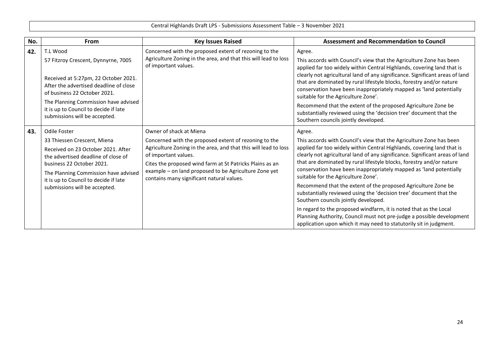| No. | <b>From</b>                                                                                                                                                                                                                                                             | <b>Key Issues Raised</b>                                                                                                                                                                                                                                                                                                                      | <b>Assessment and Recommendation to Council</b>                                                                                                                                                                                                                                                                                                                                                                                                                                                                                                                                                                                                                                                                                                                                                                                 |
|-----|-------------------------------------------------------------------------------------------------------------------------------------------------------------------------------------------------------------------------------------------------------------------------|-----------------------------------------------------------------------------------------------------------------------------------------------------------------------------------------------------------------------------------------------------------------------------------------------------------------------------------------------|---------------------------------------------------------------------------------------------------------------------------------------------------------------------------------------------------------------------------------------------------------------------------------------------------------------------------------------------------------------------------------------------------------------------------------------------------------------------------------------------------------------------------------------------------------------------------------------------------------------------------------------------------------------------------------------------------------------------------------------------------------------------------------------------------------------------------------|
| 42. | T.L Wood<br>57 Fitzroy Crescent, Dynnyrne, 7005<br>Received at 5:27pm, 22 October 2021.<br>After the advertised deadline of close<br>of business 22 October 2021.                                                                                                       | Concerned with the proposed extent of rezoning to the<br>Agriculture Zoning in the area, and that this will lead to loss<br>of important values.                                                                                                                                                                                              | Agree.<br>This accords with Council's view that the Agriculture Zone has been<br>applied far too widely within Central Highlands, covering land that is<br>clearly not agricultural land of any significance. Significant areas of land<br>that are dominated by rural lifestyle blocks, forestry and/or nature<br>conservation have been inappropriately mapped as 'land potentially<br>suitable for the Agriculture Zone'.                                                                                                                                                                                                                                                                                                                                                                                                    |
|     | The Planning Commission have advised<br>it is up to Council to decide if late<br>submissions will be accepted.                                                                                                                                                          |                                                                                                                                                                                                                                                                                                                                               | Recommend that the extent of the proposed Agriculture Zone be<br>substantially reviewed using the 'decision tree' document that the<br>Southern councils jointly developed.                                                                                                                                                                                                                                                                                                                                                                                                                                                                                                                                                                                                                                                     |
| 43. | Odile Foster<br>33 Thiessen Crescent, Miena<br>Received on 23 October 2021. After<br>the advertised deadline of close of<br>business 22 October 2021.<br>The Planning Commission have advised<br>it is up to Council to decide if late<br>submissions will be accepted. | Owner of shack at Miena<br>Concerned with the proposed extent of rezoning to the<br>Agriculture Zoning in the area, and that this will lead to loss<br>of important values.<br>Cites the proposed wind farm at St Patricks Plains as an<br>example - on land proposed to be Agriculture Zone yet<br>contains many significant natural values. | Agree.<br>This accords with Council's view that the Agriculture Zone has been<br>applied far too widely within Central Highlands, covering land that is<br>clearly not agricultural land of any significance. Significant areas of land<br>that are dominated by rural lifestyle blocks, forestry and/or nature<br>conservation have been inappropriately mapped as 'land potentially<br>suitable for the Agriculture Zone'.<br>Recommend that the extent of the proposed Agriculture Zone be<br>substantially reviewed using the 'decision tree' document that the<br>Southern councils jointly developed.<br>In regard to the proposed windfarm, it is noted that as the Local<br>Planning Authority, Council must not pre-judge a possible development<br>application upon which it may need to statutorily sit in judgment. |